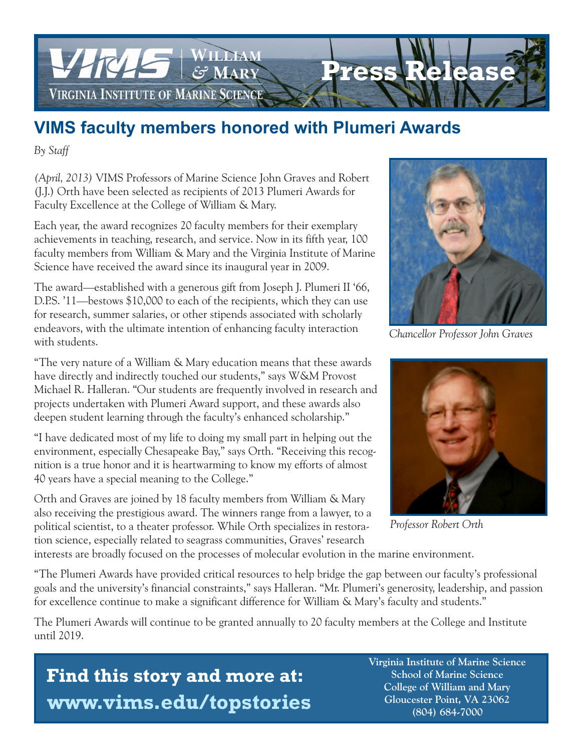

# **VIMS faculty members honored with Plumeri Awards**

*By Staff*

*(April, 2013)* VIMS Professors of Marine Science John Graves and Robert (J.J.) Orth have been selected as recipients of 2013 Plumeri Awards for Faculty Excellence at the College of William & Mary.

Each year, the award recognizes 20 faculty members for their exemplary achievements in teaching, research, and service. Now in its fifth year, 100 faculty members from William & Mary and the Virginia Institute of Marine Science have received the award since its inaugural year in 2009.

The award—established with a generous gift from Joseph J. Plumeri II '66, D.P.S. '11—bestows \$10,000 to each of the recipients, which they can use for research, summer salaries, or other stipends associated with scholarly endeavors, with the ultimate intention of enhancing faculty interaction with students.

"The very nature of a William & Mary education means that these awards have directly and indirectly touched our students," says W&M Provost Michael R. Halleran. "Our students are frequently involved in research and projects undertaken with Plumeri Award support, and these awards also deepen student learning through the faculty's enhanced scholarship."

"I have dedicated most of my life to doing my small part in helping out the environment, especially Chesapeake Bay," says Orth. "Receiving this recognition is a true honor and it is heartwarming to know my efforts of almost 40 years have a special meaning to the College."

Orth and Graves are joined by 18 faculty members from William & Mary also receiving the prestigious award. The winners range from a lawyer, to a political scientist, to a theater professor. While Orth specializes in restoration science, especially related to seagrass communities, Graves' research



*Chancellor Professor John Graves*



*Professor Robert Orth*

interests are broadly focused on the processes of molecular evolution in the marine environment.

"The Plumeri Awards have provided critical resources to help bridge the gap between our faculty's professional goals and the university's financial constraints," says Halleran. "Mr. Plumeri's generosity, leadership, and passion for excellence continue to make a significant difference for William & Mary's faculty and students."

The Plumeri Awards will continue to be granted annually to 20 faculty members at the College and Institute until 2019.

# **Find this story and more at: www.vims.edu/topstories**

 **Virginia Institute of Marine Science School of Marine Science College of William and Mary Gloucester Point, VA 23062 (804) 684-7000**